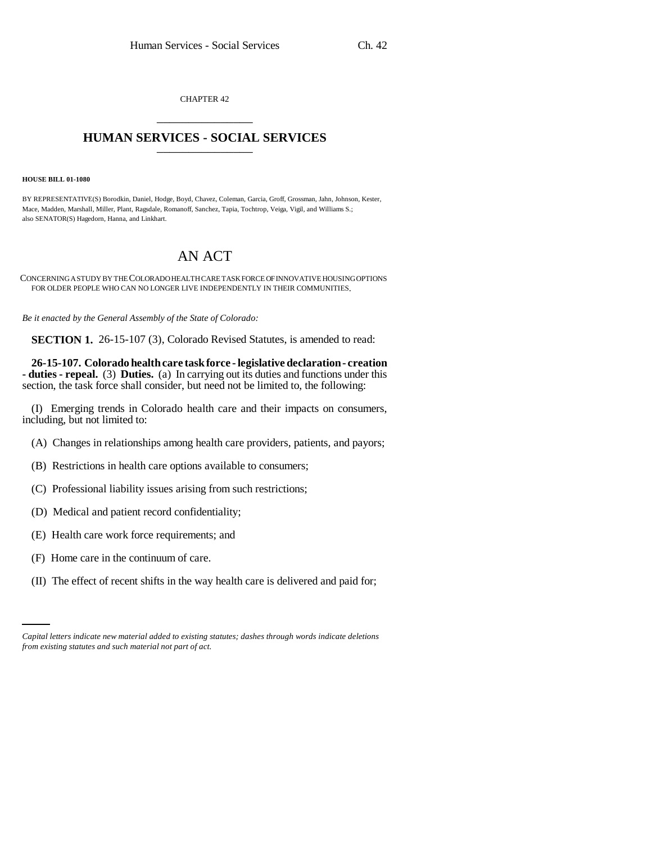CHAPTER 42 \_\_\_\_\_\_\_\_\_\_\_\_\_\_\_

## **HUMAN SERVICES - SOCIAL SERVICES** \_\_\_\_\_\_\_\_\_\_\_\_\_\_\_

## **HOUSE BILL 01-1080**

BY REPRESENTATIVE(S) Borodkin, Daniel, Hodge, Boyd, Chavez, Coleman, Garcia, Groff, Grossman, Jahn, Johnson, Kester, Mace, Madden, Marshall, Miller, Plant, Ragsdale, Romanoff, Sanchez, Tapia, Tochtrop, Veiga, Vigil, and Williams S.; also SENATOR(S) Hagedorn, Hanna, and Linkhart.

## AN ACT

CONCERNING A STUDY BY THE COLORADO HEALTH CARE TASK FORCE OF INNOVATIVE HOUSING OPTIONS FOR OLDER PEOPLE WHO CAN NO LONGER LIVE INDEPENDENTLY IN THEIR COMMUNITIES.

*Be it enacted by the General Assembly of the State of Colorado:*

**SECTION 1.** 26-15-107 (3), Colorado Revised Statutes, is amended to read:

**26-15-107. Colorado health care task force - legislative declaration - creation - duties - repeal.** (3) **Duties.** (a) In carrying out its duties and functions under this section, the task force shall consider, but need not be limited to, the following:

(I) Emerging trends in Colorado health care and their impacts on consumers, including, but not limited to:

- (A) Changes in relationships among health care providers, patients, and payors;
- (B) Restrictions in health care options available to consumers;
- (C) Professional liability issues arising from such restrictions;
- (D) Medical and patient record confidentiality;
- (E) Health care work force requirements; and
- (F) Home care in the continuum of care.
- (II) The effect of recent shifts in the way health care is delivered and paid for;

*Capital letters indicate new material added to existing statutes; dashes through words indicate deletions from existing statutes and such material not part of act.*